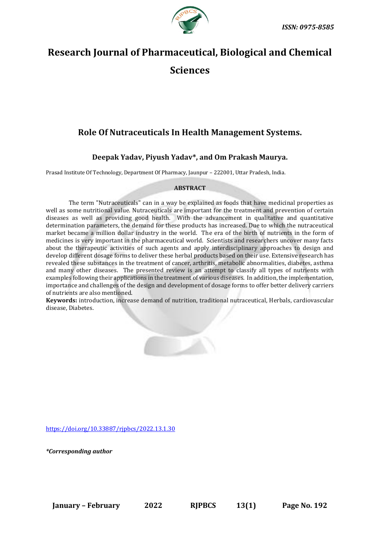

# **Research Journal of Pharmaceutical, Biological and Chemical Sciences**

# **Role Of Nutraceuticals In Health Management Systems.**

# **Deepak Yadav, Piyush Yadav\*, and Om Prakash Maurya.**

Prasad Institute Of Technology, Department Of Pharmacy, Jaunpur – 222001, Uttar Pradesh, India.

# **ABSTRACT**

The term "Nutraceuticals" can in a way be explained as foods that have medicinal properties as well as some nutritional value. Nutraceuticals are important for the treatment and prevention of certain diseases as well as providing good health. With the advancement in qualitative and quantitative determination parameters, the demand for these products has increased. Due to which the nutraceutical market became a million dollar industry in the world. The era of the birth of nutrients in the form of medicines is very important in the pharmaceutical world. Scientists and researchers uncover many facts about the therapeutic activities of such agents and apply interdisciplinary approaches to design and develop different dosage forms to deliver these herbal products based on their use. Extensive research has revealed these substances in the treatment of cancer, arthritis, metabolic abnormalities, diabetes, asthma and many other diseases. The presented review is an attempt to classify all types of nutrients with examples following their applications in the treatment of various diseases. In addition, the implementation, importance and challenges of the design and development of dosage forms to offer better delivery carriers of nutrients are also mentioned.

**Keywords:** introduction, increase demand of nutrition, traditional nutraceutical, Herbals, cardiovascular disease, Diabetes.

[https://doi.org/10.33887/rjpbcs/2022.13.1.30](https://doi.org/10.33887/rjpbcs/2022.13.1.1)

*\*Corresponding author*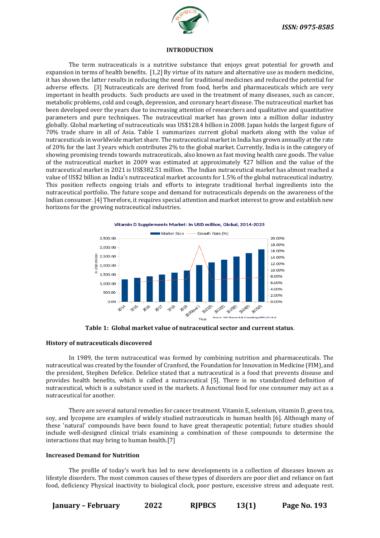

#### **INTRODUCTION**

The term nutraceuticals is a nutritive substance that enjoys great potential for growth and expansion in terms of health benefits. [1,2] By virtue of its nature and alternative use as modern medicine, it has shown the latter results in reducing the need for traditional medicines and reduced the potential for adverse effects. [3] Nutraceuticals are derived from food, herbs and pharmaceuticals which are very important in health products. Such products are used in the treatment of many diseases, such as cancer, metabolic problems, cold and cough, depression, and coronary heart disease. The nutraceutical market has been developed over the years due to increasing attention of researchers and qualitative and quantitative parameters and pure techniques. The nutraceutical market has grown into a million dollar industry globally. Global marketing of nutraceuticals was US\$128.4 billion in 2008. Japan holds the largest figure of 70% trade share in all of Asia. Table 1 summarizes current global markets along with the value of nutraceuticals in worldwide market share. The nutraceutical market in India has grown annually at the rate of 20% for the last 3 years which contributes 2% to the global market. Currently, India is in the category of showing promising trends towards nutraceuticals, also known as fast moving health care goods. The value of the nutraceutical market in 2009 was estimated at approximately ₹27 billion and the value of the nutraceutical market in 2021 is US\$382.51 million. The Indian nutraceutical market has almost reached a value of US\$2 billion as India's nutraceutical market accounts for 1.5% of the global nutraceutical industry. This position reflects ongoing trials and efforts to integrate traditional herbal ingredients into the nutraceutical portfolio. The future scope and demand for nutraceuticals depends on the awareness of the Indian consumer. [4] Therefore, it requires special attention and market interest to grow and establish new horizons for the growing nutraceutical industries.



**Table 1: Global market value of nutraceutical sector and current status**.

# **History of nutraceuticals discovered**

In 1989, the term nutraceutical was formed by combining nutrition and pharmaceuticals. The nutraceutical was created by the founder of Cranford, the Foundation for Innovation in Medicine (FIM), and the president, Stephen Defelice. Defelice stated that a nutraceutical is a food that prevents disease and provides health benefits, which is called a nutraceutical [5]. There is no standardized definition of nutraceutical, which is a substance used in the markets. A functional food for one consumer may act as a nutraceutical for another.

There are several natural remedies for cancer treatment. Vitamin E, selenium, vitamin D, green tea, soy, and lycopene are examples of widely studied nutraceuticals in human health [6]. Although many of these 'natural' compounds have been found to have great therapeutic potential; future studies should include well-designed clinical trials examining a combination of these compounds to determine the interactions that may bring to human health.[7]

#### **Increased Demand for Nutrition**

The profile of today's work has led to new developments in a collection of diseases known as lifestyle disorders. The most common causes of these types of disorders are poor diet and reliance on fast food, deficiency Physical inactivity to biological clock, poor posture, excessive stress and adequate rest.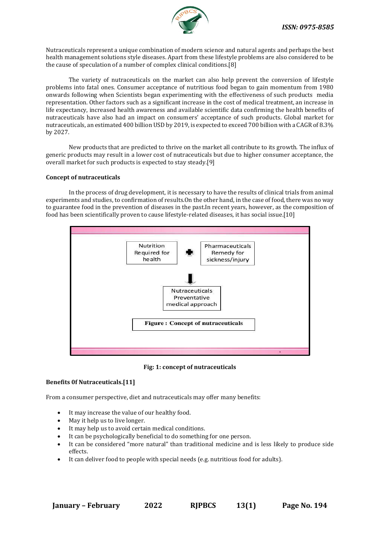

Nutraceuticals represent a unique combination of modern science and natural agents and perhaps the best health management solutions style diseases. Apart from these lifestyle problems are also considered to be the cause of speculation of a number of complex clinical conditions.[8]

The variety of nutraceuticals on the market can also help prevent the conversion of lifestyle problems into fatal ones. Consumer acceptance of nutritious food began to gain momentum from 1980 onwards following when Scientists began experimenting with the effectiveness of such products media representation. Other factors such as a significant increase in the cost of medical treatment, an increase in life expectancy, increased health awareness and available scientific data confirming the health benefits of nutraceuticals have also had an impact on consumers' acceptance of such products. Global market for nutraceuticals, an estimated 400 billion USD by 2019, is expected to exceed 700 billion with a CAGR of 8.3% by 2027.

New products that are predicted to thrive on the market all contribute to its growth. The influx of generic products may result in a lower cost of nutraceuticals but due to higher consumer acceptance, the overall market for such products is expected to stay steady.[9]

# **Concept of nutraceuticals**

In the process of drug development, it is necessary to have the results of clinical trials from animal experiments and studies, to confirmation of results.On the other hand, in the case of food, there was no way to guarantee food in the prevention of diseases in the past.In recent years, however, as the composition of food has been scientifically proven to cause lifestyle-related diseases, it has social issue.[10]



**Fig: 1: concept of nutraceuticals**

# **Benefits 0f Nutraceuticals.[11]**

From a consumer perspective, diet and nutraceuticals may offer many benefits:

- It may increase the value of our healthy food.
- May it help us to live longer.
- It may help us to avoid certain medical conditions.
- It can be psychologically beneficial to do something for one person.
- It can be considered "more natural" than traditional medicine and is less likely to produce side effects.
- It can deliver food to people with special needs (e.g. nutritious food for adults).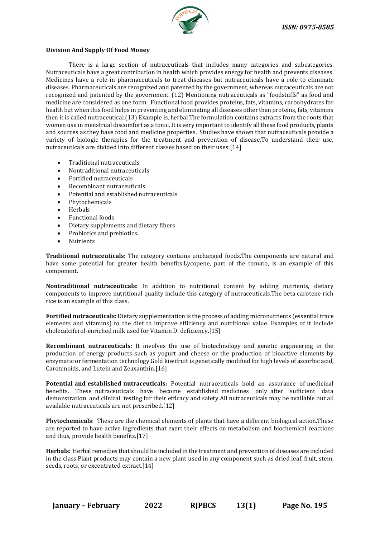

# **Division And Supply Of Food Money**

There is a large section of nutraceuticals that includes many categories and subcategories. Nutraceuticals have a great contribution in health which provides energy for health and prevents diseases. Medicines have a role in pharmaceuticals to treat diseases but nutraceuticals have a role to eliminate diseases. Pharmaceuticals are recognized and patented by the government, whereas nutraceuticals are not recognized and patented by the government. (12) Mentioning nutraceuticals as "foodstuffs" as food and medicine are considered as one form. Functional food provides proteins, fats, vitamins, carbohydrates for health but when this food helps in preventing and eliminating all diseases other than proteins, fats, vitamins then it is called nutraceutical.(13) Example is, herbal The formulation contains extracts from the roots that women use in menstrual discomfort as a tonic. It is very important to identify all these food products, plants and sources as they have food and medicine properties. Studies have shown that nutraceuticals provide a variety of biologic therapies for the treatment and prevention of disease.To understand their use, nutraceuticals are divided into different classes based on their uses:[14]

- Traditional nutraceuticals
- Nontraditional nutraceuticals
- Fortified nutraceuticals
- Recombinant nutraceuticals
- Potential and established nutraceuticals
- Phytochemicals
- Herbals
- Functional foods
- Dietary supplements and dietary fibers
- Probiotics and prebiotics.
- **Nutrients**

**Traditional nutraceuticals:** The category contains unchanged foods.The components are natural and have some potential for greater health benefits.Lycopene, part of the tomato, is an example of this component.

**Nontraditional nutraceuticals:** In addition to nutritional content by adding nutrients, dietary components to improve nutritional quality include this category of nutraceuticals.The beta carotene rich rice is an example of this class.

**Fortified nutraceuticals:** Dietary supplementation is the process of adding micronutrients (essential trace elements and vitamins) to the diet to improve efficiency and nutritional value. Examples of it include cholecalciferol-enriched milk used for Vitamin D. deficiency.[15]

**Recombinant nutraceuticals:** It involves the use of biotechnology and genetic engineering in the production of energy products such as yogurt and cheese or the production of bioactive elements by enzymatic or fermentation technology.Gold kiwifruit is genetically modified for high levels of ascorbic acid, Carotenoids, and Lutein and Zeaxanthin.[16]

**Potential and established nutraceuticals:** Potential nutraceuticals hold an assurance of medicinal benefits. These nutraceuticals have become established medicines only after sufficient data demonstration and clinical testing for their efficacy and safety.All nutraceuticals may be available but all available nutraceuticals are not prescribed.[12]

**Phytochemicals**: These are the chemical elements of plants that have a different biological action.These are reported to have active ingredients that exert their effects on metabolism and biochemical reactions and thus, provide health benefits.[17]

**Herbals**: Herbal remedies that should be included in the treatment and prevention of diseases are included in the class.Plant products may contain a new plant used in any component such as dried leaf, fruit, stem, seeds, roots, or excentrated extract.[14]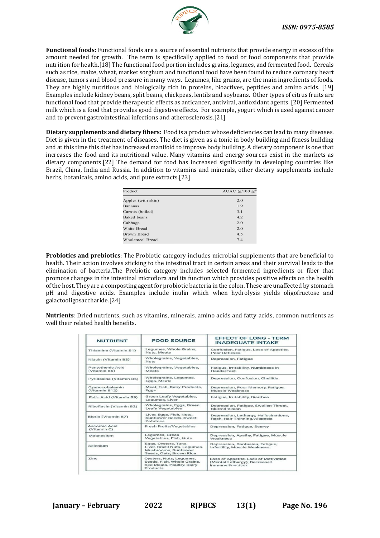

**Functional foods:** Functional foods are a source of essential nutrients that provide energy in excess of the amount needed for growth. The term is specifically applied to food or food components that provide nutrition for health.[18] The functional food portion includes grains, legumes, and fermented food. Cereals such as rice, maize, wheat, market sorghum and functional food have been found to reduce coronary heart disease, tumors and blood pressure in many ways. Legumes, like grains, are the main ingredients of foods. They are highly nutritious and biologically rich in proteins, bioactives, peptides and amino acids. [19] Examples include kidney beans, split beans, chickpeas, lentils and soybeans. Other types of citrus fruits are functional food that provide therapeutic effects as anticancer, antiviral, antioxidant agents. [20] Fermented milk which is a food that provides good digestive effects. For example, yogurt which is used against cancer and to prevent gastrointestinal infections and atherosclerosis.[21]

**Dietary supplements and dietary fibers:** Food is a product whose deficiencies can lead to many diseases. Diet is given in the treatment of diseases. The diet is given as a tonic in body building and fitness building and at this time this diet has increased manifold to improve body building. A dietary component is one that increases the food and its nutritional value. Many vitamins and energy sources exist in the markets as dietary components.[22] The demand for food has increased significantly in developing countries like Brazil, China, India and Russia. In addition to vitamins and minerals, other dietary supplements include herbs, botanicals, amino acids, and pure extracts.[23]

| Product            | AOAC $(g/100 g)^a$ |  |  |  |
|--------------------|--------------------|--|--|--|
| Apples (with skin) | 2.0                |  |  |  |
| <b>Bananas</b>     | 1.9                |  |  |  |
| Carrots (boiled)   | 3.1                |  |  |  |
| <b>Baked</b> beans | 4.2                |  |  |  |
| Cabbage            | 2.0                |  |  |  |
| White Bread        | 2.0                |  |  |  |
| <b>Brown Bread</b> | 4.5                |  |  |  |
| Wholemeal Bread    | 7.4                |  |  |  |

**Probiotics and prebiotics**: The Probiotic category includes microbial supplements that are beneficial to health. Their action involves sticking to the intestinal tract in certain areas and their survival leads to the elimination of bacteria.The Prebiotic category includes selected fermented ingredients or fiber that promote changes in the intestinal microflora and its function which provides positive effects on the health of the host. They are a composting agent for probiotic bacteria in the colon. These are unaffected by stomach pH and digestive acids. Examples include inulin which when hydrolysis yields oligofructose and galactooligosaccharide.[24]

**Nutrients**: Dried nutrients, such as vitamins, minerals, amino acids and fatty acids, common nutrients as well their related health benefits.

| <b>NUTRIENT</b>                                                                                                     | <b>FOOD SOURCE</b>                                  | <b>EFFECT OF LONG - TERM</b><br><b>INADEOUATE INTAKE</b><br>Confusion, Fatigue, Loss of Appetite,<br>Poor Reflexes<br>Depression, Fatique |  |  |
|---------------------------------------------------------------------------------------------------------------------|-----------------------------------------------------|-------------------------------------------------------------------------------------------------------------------------------------------|--|--|
| Thiamine (Vitamin B1)                                                                                               | Legumes, Whole Grains,<br>Nuts, Meats               |                                                                                                                                           |  |  |
| Niacin (Vitamin B3)                                                                                                 | Wholegrains, Vegetables,<br><b>Nuts</b>             |                                                                                                                                           |  |  |
| Pantothenic Acid<br>(Vitamin B5)                                                                                    | Wholegrains, Vegetables,<br>Meats                   | Fatigue, Irritability, Numbness in<br>Hands/Feet                                                                                          |  |  |
| Pyridoxine (Vitamin B6)                                                                                             | Wholegrains, Legumes,<br>Eggs, Meats                | Depression, Confusion, Cheilitis                                                                                                          |  |  |
| Cyanocobalamin<br>(Vitamin B12)                                                                                     | Meat, Fish, Dairy Products,<br>Eggs                 | Depression, Poor Memory, Fatigue,<br>Muscle Weakness                                                                                      |  |  |
| Folic Acid (Vitamin B9)                                                                                             | <b>Green Leafy Vegetables,</b><br>Legumes, Liver    | Fatique, Irritability, Diarrhea                                                                                                           |  |  |
| Riboflavin (Vitamin B2)                                                                                             | Wholegrains, Eggs, Green<br><b>Leafy Vegetables</b> | Depression, Fatigue, Swollen Throat,<br><b>Blurred Vision</b>                                                                             |  |  |
| Liver, Eggs, Fish, Nuts,<br>Biotin (Vitamin B7)<br><b>Sunflower Seeds, Sweet</b><br>Potatoes                        |                                                     | Depression, Lethargy, Hallucinations,<br>Rash, Hair Thinning/Alopecia                                                                     |  |  |
| Ascorbic Acid<br>(Vitamin C)                                                                                        | <b>Fresh Fruits/Vegetables</b>                      | Depression, Fatigue, Scurvy                                                                                                               |  |  |
| Legumes, Green<br>Magnesium<br>Vegetables, Fish, Nuts                                                               |                                                     | Depression, Apathy, Fatigue, Muscle<br>Weakness                                                                                           |  |  |
| Eggs, Oysters, Tuna,<br>Selenium<br>Liver, Brazil Nuts, Legumes,<br>Mushrooms, Sunflower<br>Seeds, Oats, Brown Rice |                                                     | Depression, Confusion, Fatigue,<br><b>Infertility, Muscle Weakness</b>                                                                    |  |  |
| Zinc<br>Oysters, Nuts, Legumes,<br>Seeds, Fish, Whole Grains,<br>Red Meats, Poultry, Dairy<br>Products              |                                                     | Loss of Appetite, Lack of Motivation<br>(Mental Lethargy), Decreased<br>Immune Function                                                   |  |  |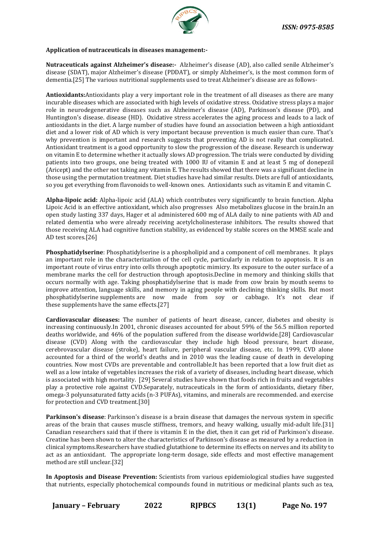

# **Application of nutraceuticals in diseases management:-**

**Nutraceuticals against Alzheimer's disease:-** Alzheimer's disease (AD), also called senile Alzheimer's disease (SDAT), major Alzheimer's disease (PDDAT), or simply Alzheimer's, is the most common form of dementia.[25] The various nutritional supplements used to treat Alzheimer's disease are as follows-

**Antioxidants:**Antioxidants play a very important role in the treatment of all diseases as there are many incurable diseases which are associated with high levels of oxidative stress. Oxidative stress plays a major role in neurodegenerative diseases such as Alzheimer's disease (AD), Parkinson's disease (PD), and Huntington's disease. disease (HD). Oxidative stress accelerates the aging process and leads to a lack of antioxidants in the diet. A large number of studies have found an association between a high antioxidant diet and a lower risk of AD which is very important because prevention is much easier than cure. That's why prevention is important and research suggests that preventing AD is not really that complicated. Antioxidant treatment is a good opportunity to slow the progression of the disease. Research is underway on vitamin E to determine whether it actually slows AD progression. The trials were conducted by dividing patients into two groups, one being treated with 1000 IU of vitamin E and at least 5 mg of donepezil (Aricept) and the other not taking any vitamin E. The results showed that there was a significant decline in those using the permutation treatment. Diet studies have had similar results. Diets are full of antioxidants, so you get everything from flavonoids to well-known ones. Antioxidants such as vitamin E and vitamin C.

**Alpha-lipoic acid:** Alpha-lipoic acid (ALA) which contributes very significantly to brain function. Alpha Lipoic Acid is an effective antioxidant, which also progresses Also metabolizes glucose in the brain.In an open study lasting 337 days, Hager et al administered 600 mg of ALA daily to nine patients with AD and related dementia who were already receiving acetylcholinesterase inhibitors. The results showed that those receiving ALA had cognitive function stability, as evidenced by stable scores on the MMSE scale and AD test scores.[26]

**Phosphatidylserine**: Phosphatidylserine is a phospholipid and a component of cell membranes. It plays an important role in the characterization of the cell cycle, particularly in relation to apoptosis. It is an important route of virus entry into cells through apoptotic mimicry. Its exposure to the outer surface of a membrane marks the cell for destruction through apoptosis.Decline in memory and thinking skills that occurs normally with age. Taking phosphatidylserine that is made from cow brain by mouth seems to improve attention, language skills, and memory in aging people with declining thinking skills. But most phosphatidylserine supplements are now made from soy or cabbage. It's not clear if these supplements have the same effects.[27]

**Cardiovascular diseases:** The number of patients of heart disease, cancer, diabetes and obesity is increasing continuously.In 2001, chronic diseases accounted for about 59% of the 56.5 million reported deaths worldwide, and 46% of the population suffered from the disease worldwide.[28] Cardiovascular disease (CVD) Along with the cardiovascular they include high blood pressure, heart disease, cerebrovascular disease (stroke), heart failure, peripheral vascular disease, etc. In 1999, CVD alone accounted for a third of the world's deaths and in 2010 was the leading cause of death in developing countries. Now most CVDs are preventable and controllable.It has been reported that a low fruit diet as well as a low intake of vegetables increases the risk of a variety of diseases, including heart disease, which is associated with high mortality. [29] Several studies have shown that foods rich in fruits and vegetables play a protective role against CVD.Separately, nutraceuticals in the form of antioxidants, dietary fiber, omega-3 polyunsaturated fatty acids (n-3 PUFAs), vitamins, and minerals are recommended. and exercise for protection and CVD treatment.[30]

**Parkinson's disease**: Parkinson's disease is a brain disease that damages the nervous system in specific areas of the brain that causes muscle stiffness, tremors, and heavy walking, usually mid-adult life.[31] Canadian researchers said that if there is vitamin E in the diet, then it can get rid of Parkinson's disease. Creatine has been shown to alter the characteristics of Parkinson's disease as measured by a reduction in clinical symptoms.Researchers have studied glutathione to determine its effects on nerves and its ability to act as an antioxidant. The appropriate long-term dosage, side effects and most effective management method are still unclear.[32]

**In Apoptosis and Disease Prevention:** Scientists from various epidemiological studies have suggested that nutrients, especially photochemical compounds found in nutritious or medicinal plants such as tea,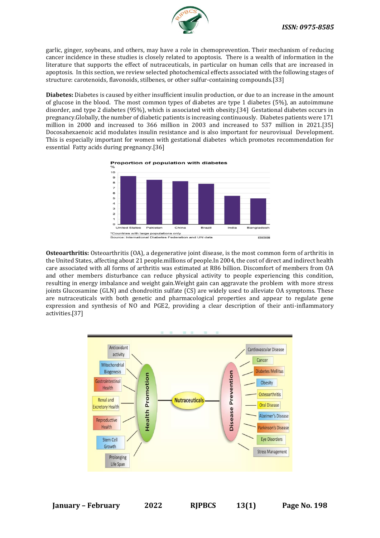

garlic, ginger, soybeans, and others, may have a role in chemoprevention. Their mechanism of reducing cancer incidence in these studies is closely related to apoptosis. There is a wealth of information in the literature that supports the effect of nutraceuticals, in particular on human cells that are increased in apoptosis. In this section, we review selected photochemical effects associated with the following stages of structure: carotenoids, flavonoids, stilbenes, or other sulfur-containing compounds.[33]

**Diabetes:** Diabetes is caused by either insufficient insulin production, or due to an increase in the amount of glucose in the blood. The most common types of diabetes are type 1 diabetes (5%), an autoimmune disorder, and type 2 diabetes (95%), which is associated with obesity.[34] Gestational diabetes occurs in pregnancy.Globally, the number of diabetic patients is increasing continuously. Diabetes patients were 171 million in 2000 and increased to 366 million in 2003 and increased to 537 million in 2021.[35] Docosahexaenoic acid modulates insulin resistance and is also important for neurovisual Development. This is especially important for women with gestational diabetes which promotes recommendation for essential Fatty acids during pregnancy.[36]





**Osteoarthritis:** Osteoarthritis (OA), a degenerative joint disease, is the most common form of arthritis in the United States, affecting about 21 people.millions of people.In 2004, the cost of direct and indirect health care associated with all forms of arthritis was estimated at R86 billion. Discomfort of members from OA and other members disturbance can reduce physical activity to people experiencing this condition, resulting in energy imbalance and weight gain.Weight gain can aggravate the problem with more stress joints Glucosamine (GLN) and chondroitin sulfate (CS) are widely used to alleviate OA symptoms. These are nutraceuticals with both genetic and pharmacological properties and appear to regulate gene expression and synthesis of NO and PGE2, providing a clear description of their anti-inflammatory activities.[37]

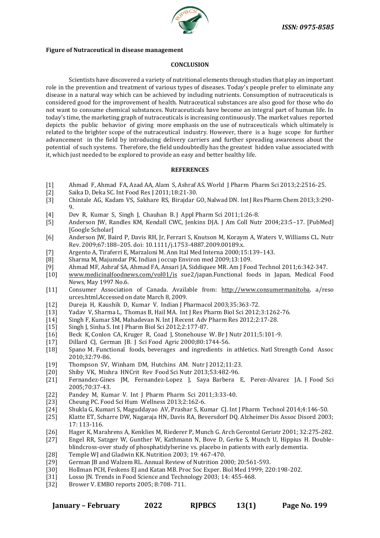

#### **Figure of Nutraceutical in disease management**

# **CONCLUSION**

Scientists have discovered a variety of nutritional elements through studies that play an important role in the prevention and treatment of various types of diseases. Today's people prefer to eliminate any disease in a natural way which can be achieved by including nutrients. Consumption of nutraceuticals is considered good for the improvement of health. Nutraceutical substances are also good for those who do not want to consume chemical substances. Nutraceuticals have become an integral part of human life. In today's time, the marketing graph of nutraceuticals is increasing continuously. The market values reported depicts the public behavior of giving more emphasis on the use of nutraceuticals which ultimately is related to the brighter scope of the nutraceutical industry. However, there is a huge scope for further advancement in the field by introducing delivery carriers and further spreading awareness about the potential of such systems. Therefore, the field undoubtedly has the greatest hidden value associated with it, which just needed to be explored to provide an easy and better healthy life.

# **REFERENCES**

- [1] Ahmad F, Ahmad FA, Azad AA, Alam S, Ashraf AS. World J Pharm Pharm Sci 2013;2:2516-25.
- [2] Saika D, Deka SC. Int Food Res J 2011;18:21-30.
- [3] Chintale AG, Kadam VS, Sakhare RS, Birajdar GO, Nalwad DN. Int J Res Pharm Chem 2013;3:290-  $\mathbf{Q}$
- [4] Dev R, Kumar S, Singh J, Chauhan B. J Appl Pharm Sci 2011;1:26-8.
- [5] Anderson JW, Randles KM, Kendall CWC, Jenkins DJA. J Am Coll Nutr 2004;23:5–17. [PubMed] [Google Scholar]
- [6] Anderson JW, Baird P, Davis RH, Jr, Ferrari S, Knutson M, Koraym A, Waters V, Williams CL. Nutr Rev. 2009;67:188–205. doi: 10.1111/j.1753-4887.2009.00189.x.
- [7] Argento A, Tiraferri E, Marzaloni M. Ann Ital Med Interna 2000;15:139–143.
- [8] Sharma M, Majumdar PK. Indian j occup Environ med 2009;13:109.
- [9] Ahmad MF, Ashraf SA, Ahmad FA, Ansari JA, Siddiquee MR. Am J Food Technol 2011;6:342-347.
- [10] [www.medicinalfoodnews.com/vol01/is](http://www.medicinalfoodnews.com/vol01/is) sue2/japan.Functional foods in Japan, Medical Food News, May 1997 No.6.
- [11] Consumer Association of Canada. Available from: [http://www.consumermanitoba.](http://www.consumermanitoba/) a/reso urces.html.Accessed on date March 8, 2009.
- [12] Dureja H, Kaushik D, Kumar V. Indian J Pharmacol 2003;35:363-72.
- [13] Yadav V, Sharma L, Thomas B, Hail MA. Int J Res Pharm Biol Sci 2012;3:1262-76.
- [14] Singh F, Kumar SM, Mahadevan N. Int J Recent Adv Pharm Res 2012;2:17-28.
- [15] Singh J, Sinha S. Int J Pharm Biol Sci 2012;2:177-87.
- [16] Beck K, Conlon CA, Kruger R, Coad J, Stonehouse W. Br J Nutr 2011;5:101-9.
- [17] Dillard CJ, German JB. J Sci Food Agric 2000;80:1744-56.
- [18] Spano M. Functional foods, beverages and ingredients in athletics. Natl Strength Cond Assoc 2010;32:79-86.
- [19] Thompson SV, Winham DM, Hutchins AM. Nutr J 2012;11:23.
- [20] Shiby VK, Mishra HNCrit Rev Food Sci Nutr 2013;53:482-96.
- [21] Fernandez-Gines JM, Fernandez-Lopez J, Saya Barbera E, Perez-Alvarez JA. J Food Sci 2005;70:37-43.
- [22] Pandey M, Kumar V. Int J Pharm Pharm Sci 2011;3:33-40.
- [23] Cheung PC. Food Sci Hum Wellness 2013;2:162-6.
- [24] Shukla G, Kumari S, Maguddayao AV, Prashar S, Kumar CJ. Int J Pharm Technol 2014;4:146-50.
- [25] Klatte ET, Scharre DW, Nagaraja HN, Davis RA, Beversdorf DQ. Alzheimer Dis Assoc Disord 2003; 17: 113-116.
- [26] Hager K, Marahrens A, Kenklies M, Riederer P, Munch G. Arch Gerontol Geriatr 2001; 32:275-282.
- [27] Engel RR, Satzger W, Gunther W, Kathmann N, Bove D, Gerke S, Munch U, Hippius H. Doubleblindcross-over study of phosphatidylserine vs. placebo in patients with early dementia.
- [28] Temple WJ and Gladwin KK. Nutrition 2003; 19: 467-470.
- [29] German JB and Walzem RL. Annual Review of Nutrition 2000; 20:561-593.
- [30] Hollman PCH, Feskens EJ and Katan MB. Proc Soc Exper. Biol Med 1999; 220:198-202.
- [31] Losso JN. Trends in Food Science and Technology 2003; 14: 455-468.
- [32] Brower V. EMBO reports 2005; 8:708- 711.

|  | January – February | 2022 | <b>RIPBCS</b> | 13(1) | Page No. 199 |
|--|--------------------|------|---------------|-------|--------------|
|  |                    |      |               |       |              |